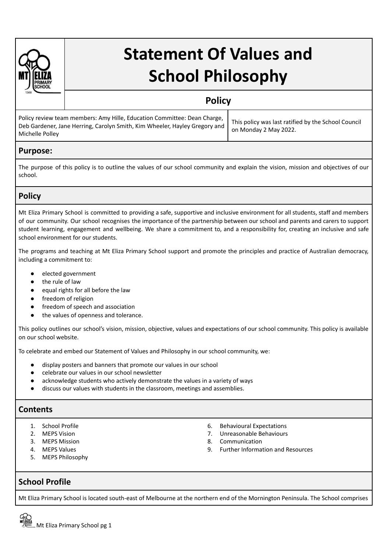

# **Statement Of Values and School Philosophy**

## **Policy**

| Policy review team members: Amy Hille, Education Committee: Dean Charge,<br>Deb Gardener, Jane Herring, Carolyn Smith, Kim Wheeler, Hayley Gregory and<br>Michelle Polley | This policy was last ratified by the School Council<br>on Mondav 2 Mav 2022. |
|---------------------------------------------------------------------------------------------------------------------------------------------------------------------------|------------------------------------------------------------------------------|
|---------------------------------------------------------------------------------------------------------------------------------------------------------------------------|------------------------------------------------------------------------------|

#### **Purpose:**

The purpose of this policy is to outline the values of our school community and explain the vision, mission and objectives of our school.

## **Policy**

Mt Eliza Primary School is committed to providing a safe, supportive and inclusive environment for all students, staff and members of our community. Our school recognises the importance of the partnership between our school and parents and carers to support student learning, engagement and wellbeing. We share a commitment to, and a responsibility for, creating an inclusive and safe school environment for our students.

The programs and teaching at Mt Eliza Primary School support and promote the principles and practice of Australian democracy, including a commitment to:

- elected government
- the rule of law
- equal rights for all before the law
- freedom of religion
- freedom of speech and association
- the values of openness and tolerance.

This policy outlines our school's vision, mission, objective, values and expectations of our school community. This policy is available on our school website.

To celebrate and embed our Statement of Values and Philosophy in our school community, we:

- display posters and banners that promote our values in our school
- **●** celebrate our values in our school newsletter
- acknowledge students who actively demonstrate the values in a variety of ways
- discuss our values with students in the classroom, meetings and assemblies.

## **Contents**

- 
- 
- 3. MEPS Mission 3. Communication 3. Communication 3. Communication 3. Communication 3. Communication 3. Communication 3. Communication 3. Communication 3. Communication 3. Communication 3. Communication 3. Communication 3.
- 
- 5. MEPS Philosophy
- 1. School Profile 6. Behavioural Expectations
- 2. MEPS Vision 2. The state of the state of the state of the state of the state of the state of the state of the state of the state of the state of the state of the state of the state of the state of the state of the state
	-
	- 4. MEPS Values 9. Further Information and Resources

#### **School Profile**

Mt Eliza Primary School is located south-east of Melbourne at the northern end of the Mornington Peninsula. The School comprises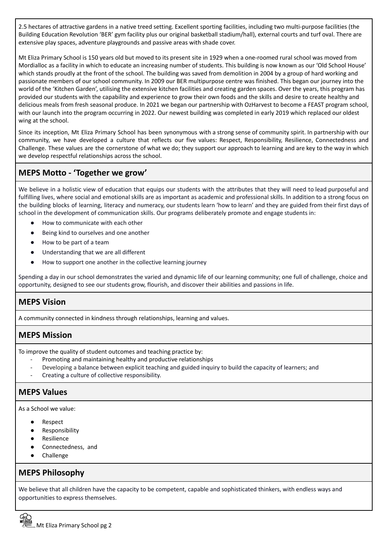2.5 hectares of attractive gardens in a native treed setting. Excellent sporting facilities, including two multi-purpose facilities (the Building Education Revolution 'BER' gym facility plus our original basketball stadium/hall), external courts and turf oval. There are extensive play spaces, adventure playgrounds and passive areas with shade cover.

Mt Eliza Primary School is 150 years old but moved to its present site in 1929 when a one-roomed rural school was moved from Mordialloc as a facility in which to educate an increasing number of students. This building is now known as our 'Old School House' which stands proudly at the front of the school. The building was saved from demolition in 2004 by a group of hard working and passionate members of our school community. In 2009 our BER multipurpose centre was finished. This began our journey into the world of the 'Kitchen Garden', utilising the extensive kitchen facilities and creating garden spaces. Over the years, this program has provided our students with the capability and experience to grow their own foods and the skills and desire to create healthy and delicious meals from fresh seasonal produce. In 2021 we began our partnership with OzHarvest to become a FEAST program school, with our launch into the program occurring in 2022. Our newest building was completed in early 2019 which replaced our oldest wing at the school.

Since its inception, Mt Eliza Primary School has been synonymous with a strong sense of community spirit. In partnership with our community, we have developed a culture that reflects our five values: Respect, Responsibility, Resilience, Connectedness and Challenge. These values are the cornerstone of what we do; they support our approach to learning and are key to the way in which we develop respectful relationships across the school.

## **MEPS Motto - 'Together we grow'**

We believe in a holistic view of education that equips our students with the attributes that they will need to lead purposeful and fulfilling lives, where social and emotional skills are as important as academic and professional skills. In addition to a strong focus on the building blocks of learning, literacy and numeracy, our students learn 'how to learn' and they are guided from their first days of school in the development of communication skills. Our programs deliberately promote and engage students in:

- How to communicate with each other
- Being kind to ourselves and one another
- How to be part of a team
- Understanding that we are all different
- How to support one another in the collective learning journey

Spending a day in our school demonstrates the varied and dynamic life of our learning community; one full of challenge, choice and opportunity, designed to see our students grow, flourish, and discover their abilities and passions in life.

## **MEPS Vision**

A community connected in kindness through relationships, learning and values.

## **MEPS Mission**

To improve the quality of student outcomes and teaching practice by:

- Promoting and maintaining healthy and productive relationships
- Developing a balance between explicit teaching and guided inquiry to build the capacity of learners; and
- Creating a culture of collective responsibility.

## **MEPS Values**

As a School we value:

- **Respect**
- Responsibility
- Resilience
- Connectedness, and
- Challenge

#### **MEPS Philosophy**

We believe that all children have the capacity to be competent, capable and sophisticated thinkers, with endless ways and opportunities to express themselves.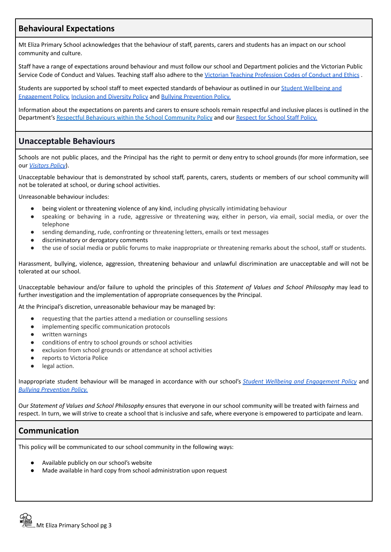## **Behavioural Expectations**

Mt Eliza Primary School acknowledges that the behaviour of staff, parents, carers and students has an impact on our school community and culture.

Staff have a range of expectations around behaviour and must follow our school and Department policies and the Victorian Public Service Code of Conduct and Values. Teaching staff also adhere to the Victorian Teaching [Profession](https://www.vit.vic.edu.au/maintain/conduct/codes) Codes of Conduct and Ethics.

Students are supported by school staff to meet expected standards of behaviour as outlined in our Student [Wellbeing](https://mtelizaps.vic.edu.au/wp-content/uploads/2022/05/Student-Wellbeing-and-Engagement-Policy-2022.docx.pdf) and [Engagement](https://mtelizaps.vic.edu.au/wp-content/uploads/2022/05/Student-Wellbeing-and-Engagement-Policy-2022.docx.pdf) Policy, [Inclusion](https://mtelizaps.vic.edu.au/wp-content/uploads/2022/05/2021-Inclusion-and-Diversity-Policy.pdf) and Diversity Policy and Bullying [Prevention](https://mtelizaps.vic.edu.au/wp-content/uploads/2022/05/2021-Bullying-Prevention-Policy.pdf) Policy.

Information about the expectations on parents and carers to ensure schools remain respectful and inclusive places is outlined in the Department's Respectful Behaviours within the School [Community](https://www.education.vic.gov.au/Pages/Respectful-Behaviours-within-the-School-Community-Policy.aspx) Policy and our [Respect](https://mtelizaps.vic.edu.au/wp-content/uploads/2021/02/2020-Respect-for-School-Staff-Policy.pdf) for School Staff Policy.

## **Unacceptable Behaviours**

Schools are not public places, and the Principal has the right to permit or deny entry to school grounds (for more information, see our *[Visitors](https://mtelizaps.vic.edu.au/wp-content/uploads/2022/05/2021-Visitors-Policy.pdf) Policy*).

Unacceptable behaviour that is demonstrated by school staff, parents, carers, students or members of our school community will not be tolerated at school, or during school activities.

Unreasonable behaviour includes:

- being violent or threatening violence of any kind, including physically intimidating behaviour
- speaking or behaving in a rude, aggressive or threatening way, either in person, via email, social media, or over the telephone
- sending demanding, rude, confronting or threatening letters, emails or text messages
- discriminatory or derogatory comments
- the use of social media or public forums to make inappropriate or threatening remarks about the school, staff or students.

Harassment, bullying, violence, aggression, threatening behaviour and unlawful discrimination are unacceptable and will not be tolerated at our school.

Unacceptable behaviour and/or failure to uphold the principles of this *Statement of Values and School Philosophy* may lead to further investigation and the implementation of appropriate consequences by the Principal.

At the Principal's discretion, unreasonable behaviour may be managed by:

- requesting that the parties attend a mediation or counselling sessions
- implementing specific communication protocols
- written warnings
- conditions of entry to school grounds or school activities
- exclusion from school grounds or attendance at school activities
- reports to Victoria Police
- legal action.

Inappropriate student behaviour will be managed in accordance with our school's *Student Wellbeing and [Engagement](https://mtelizaps.vic.edu.au/wp-content/uploads/2022/05/Student-Wellbeing-and-Engagement-Policy-2022.docx.pdf) Policy* and *Bullying [Prevention](https://mtelizaps.vic.edu.au/wp-content/uploads/2022/05/2021-Bullying-Prevention-Policy.pdf) Policy.*

Our *Statement of Values and School Philosophy* ensures that everyone in our school community will be treated with fairness and respect. In turn, we will strive to create a school that is inclusive and safe, where everyone is empowered to participate and learn.

#### **Communication**

This policy will be communicated to our school community in the following ways:

- Available publicly on our school's website
- Made available in hard copy from school administration upon request